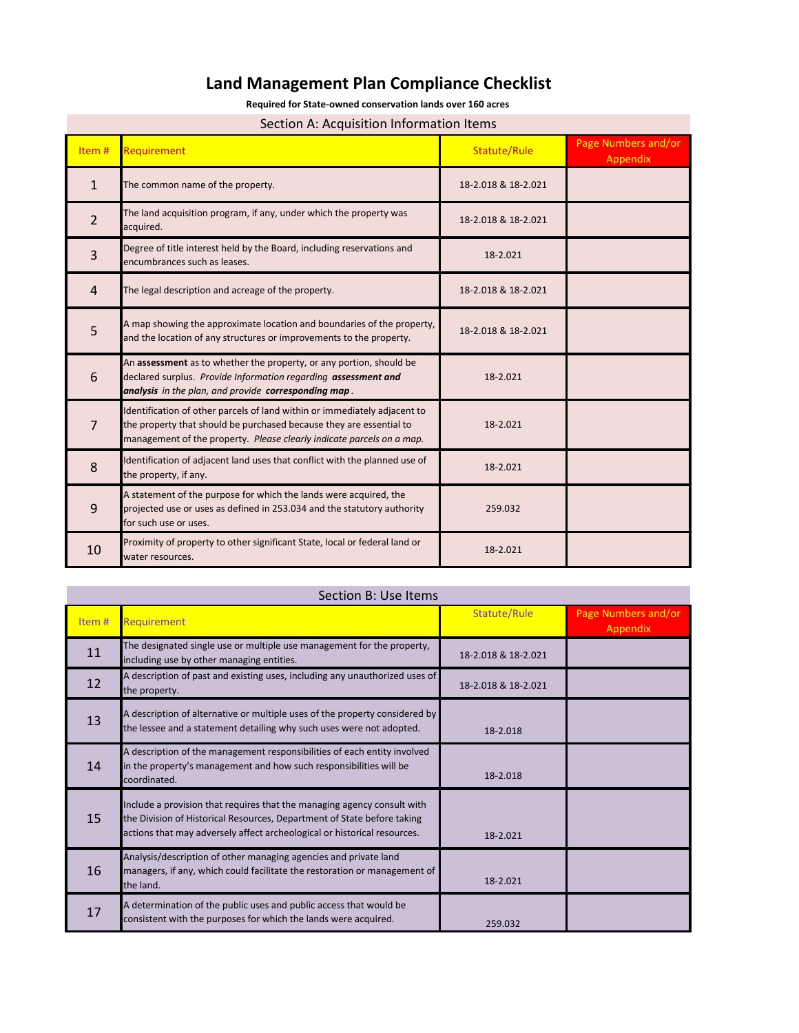## **Land Management Plan Compliance Checklist**

**Required for State-owned conservation lands over 160 acres** 

#### Section A: Acquisition Information Items

| Section A. Acquisition information recins |                                                                                                                                                                                                                           |                     |                                 |
|-------------------------------------------|---------------------------------------------------------------------------------------------------------------------------------------------------------------------------------------------------------------------------|---------------------|---------------------------------|
| Item#                                     | <b>Requirement</b>                                                                                                                                                                                                        | Statute/Rule        | Page Numbers and/or<br>Appendix |
| $\mathbf{1}$                              | The common name of the property.                                                                                                                                                                                          | 18-2.018 & 18-2.021 |                                 |
| $\overline{2}$                            | The land acquisition program, if any, under which the property was<br>acquired.                                                                                                                                           | 18-2.018 & 18-2.021 |                                 |
| 3                                         | Degree of title interest held by the Board, including reservations and<br>encumbrances such as leases.                                                                                                                    | 18-2.021            |                                 |
| $\overline{4}$                            | The legal description and acreage of the property.                                                                                                                                                                        | 18-2.018 & 18-2.021 |                                 |
| 5                                         | A map showing the approximate location and boundaries of the property,<br>and the location of any structures or improvements to the property.                                                                             | 18-2.018 & 18-2.021 |                                 |
| 6                                         | An assessment as to whether the property, or any portion, should be<br>declared surplus. Provide Information regarding assessment and<br>analysis in the plan, and provide corresponding map.                             | 18-2.021            |                                 |
| $\overline{7}$                            | Identification of other parcels of land within or immediately adjacent to<br>the property that should be purchased because they are essential to<br>management of the property. Please clearly indicate parcels on a map. | 18-2.021            |                                 |
| 8                                         | Identification of adjacent land uses that conflict with the planned use of<br>the property, if any.                                                                                                                       | 18-2.021            |                                 |
| 9                                         | A statement of the purpose for which the lands were acquired, the<br>projected use or uses as defined in 253.034 and the statutory authority<br>for such use or uses.                                                     | 259.032             |                                 |
| 10                                        | Proximity of property to other significant State, local or federal land or<br>water resources.                                                                                                                            | 18-2.021            |                                 |

| Section B: Use Items |                                                                                                                                                                                                                                |                     |                                 |
|----------------------|--------------------------------------------------------------------------------------------------------------------------------------------------------------------------------------------------------------------------------|---------------------|---------------------------------|
| Item#                | <b>Requirement</b>                                                                                                                                                                                                             | Statute/Rule        | Page Numbers and/or<br>Appendix |
| 11                   | The designated single use or multiple use management for the property,<br>including use by other managing entities.                                                                                                            | 18-2.018 & 18-2.021 |                                 |
| 12                   | A description of past and existing uses, including any unauthorized uses of<br>the property.                                                                                                                                   | 18-2.018 & 18-2.021 |                                 |
| 13                   | A description of alternative or multiple uses of the property considered by<br>the lessee and a statement detailing why such uses were not adopted.                                                                            | 18-2.018            |                                 |
| 14                   | A description of the management responsibilities of each entity involved<br>in the property's management and how such responsibilities will be<br>coordinated.                                                                 | 18-2.018            |                                 |
| 15                   | Include a provision that requires that the managing agency consult with<br>the Division of Historical Resources, Department of State before taking<br>actions that may adversely affect archeological or historical resources. | 18-2.021            |                                 |
| 16                   | Analysis/description of other managing agencies and private land<br>managers, if any, which could facilitate the restoration or management of<br>the land.                                                                     | 18-2.021            |                                 |
| 17                   | A determination of the public uses and public access that would be<br>consistent with the purposes for which the lands were acquired.                                                                                          | 259.032             |                                 |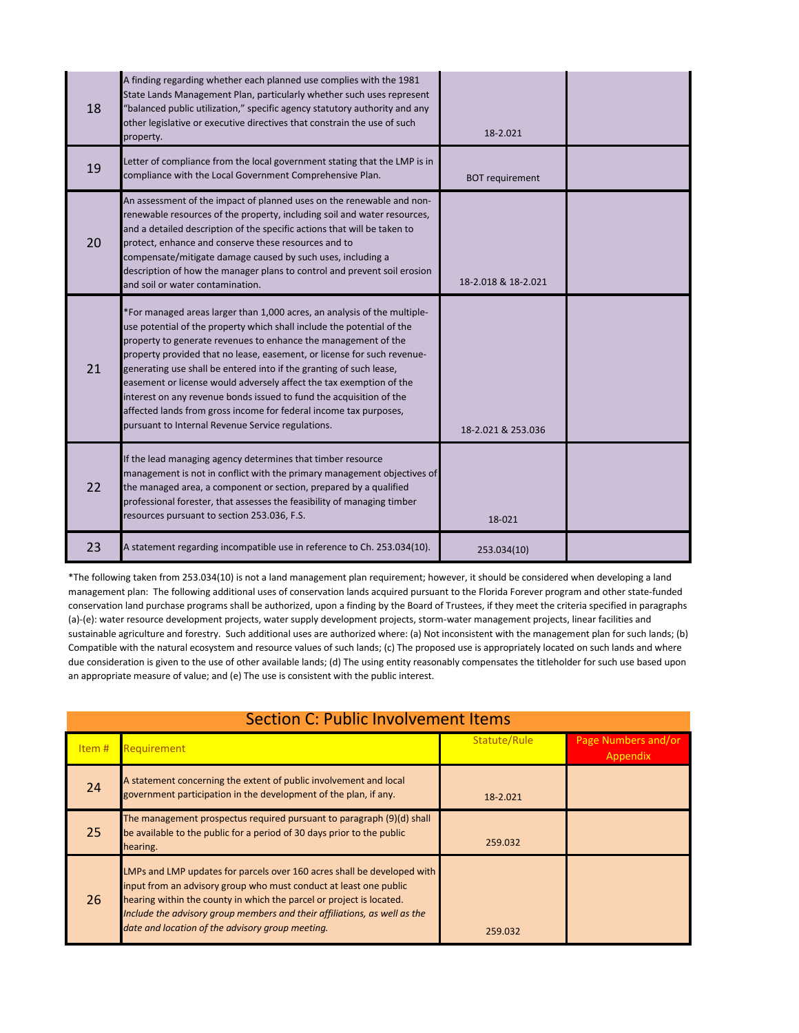| 18 | A finding regarding whether each planned use complies with the 1981<br>State Lands Management Plan, particularly whether such uses represent<br>'balanced public utilization," specific agency statutory authority and any<br>other legislative or executive directives that constrain the use of such<br>property.                                                                                                                                                                                                                                                                                                                            | 18-2.021               |  |
|----|------------------------------------------------------------------------------------------------------------------------------------------------------------------------------------------------------------------------------------------------------------------------------------------------------------------------------------------------------------------------------------------------------------------------------------------------------------------------------------------------------------------------------------------------------------------------------------------------------------------------------------------------|------------------------|--|
| 19 | Letter of compliance from the local government stating that the LMP is in<br>compliance with the Local Government Comprehensive Plan.                                                                                                                                                                                                                                                                                                                                                                                                                                                                                                          | <b>BOT requirement</b> |  |
| 20 | An assessment of the impact of planned uses on the renewable and non-<br>renewable resources of the property, including soil and water resources,<br>and a detailed description of the specific actions that will be taken to<br>protect, enhance and conserve these resources and to<br>compensate/mitigate damage caused by such uses, including a<br>description of how the manager plans to control and prevent soil erosion<br>and soil or water contamination.                                                                                                                                                                           | 18-2.018 & 18-2.021    |  |
| 21 | *For managed areas larger than 1,000 acres, an analysis of the multiple-<br>use potential of the property which shall include the potential of the<br>property to generate revenues to enhance the management of the<br>property provided that no lease, easement, or license for such revenue-<br>generating use shall be entered into if the granting of such lease,<br>easement or license would adversely affect the tax exemption of the<br>interest on any revenue bonds issued to fund the acquisition of the<br>affected lands from gross income for federal income tax purposes,<br>pursuant to Internal Revenue Service regulations. | 18-2.021 & 253.036     |  |
| 22 | If the lead managing agency determines that timber resource<br>management is not in conflict with the primary management objectives of<br>the managed area, a component or section, prepared by a qualified<br>professional forester, that assesses the feasibility of managing timber<br>resources pursuant to section 253.036, F.S.                                                                                                                                                                                                                                                                                                          | 18-021                 |  |
| 23 | A statement regarding incompatible use in reference to Ch. 253.034(10).                                                                                                                                                                                                                                                                                                                                                                                                                                                                                                                                                                        | 253.034(10)            |  |

\*The following taken from 253.034(10) is not a land management plan requirement; however, it should be considered when developing a land management plan: The following additional uses of conservation lands acquired pursuant to the Florida Forever program and other state-funded conservation land purchase programs shall be authorized, upon a finding by the Board of Trustees, if they meet the criteria specified in paragraphs (a)-(e): water resource development projects, water supply development projects, storm-water management projects, linear facilities and sustainable agriculture and forestry. Such additional uses are authorized where: (a) Not inconsistent with the management plan for such lands; (b) Compatible with the natural ecosystem and resource values of such lands; (c) The proposed use is appropriately located on such lands and where due consideration is given to the use of other available lands; (d) The using entity reasonably compensates the titleholder for such use based upon an appropriate measure of value; and (e) The use is consistent with the public interest.

| <b>Section C: Public Involvement Items</b> |                                                                                                                                                                                                                                                                                                                                                       |              |                                 |
|--------------------------------------------|-------------------------------------------------------------------------------------------------------------------------------------------------------------------------------------------------------------------------------------------------------------------------------------------------------------------------------------------------------|--------------|---------------------------------|
| Item $#$                                   | Requirement                                                                                                                                                                                                                                                                                                                                           | Statute/Rule | Page Numbers and/or<br>Appendix |
| 24                                         | A statement concerning the extent of public involvement and local<br>government participation in the development of the plan, if any.                                                                                                                                                                                                                 | 18-2.021     |                                 |
| 25                                         | The management prospectus required pursuant to paragraph (9)(d) shall<br>be available to the public for a period of 30 days prior to the public<br>hearing.                                                                                                                                                                                           | 259.032      |                                 |
| 26                                         | LMPs and LMP updates for parcels over 160 acres shall be developed with<br>input from an advisory group who must conduct at least one public<br>hearing within the county in which the parcel or project is located.<br>Include the advisory group members and their affiliations, as well as the<br>date and location of the advisory group meeting. | 259.032      |                                 |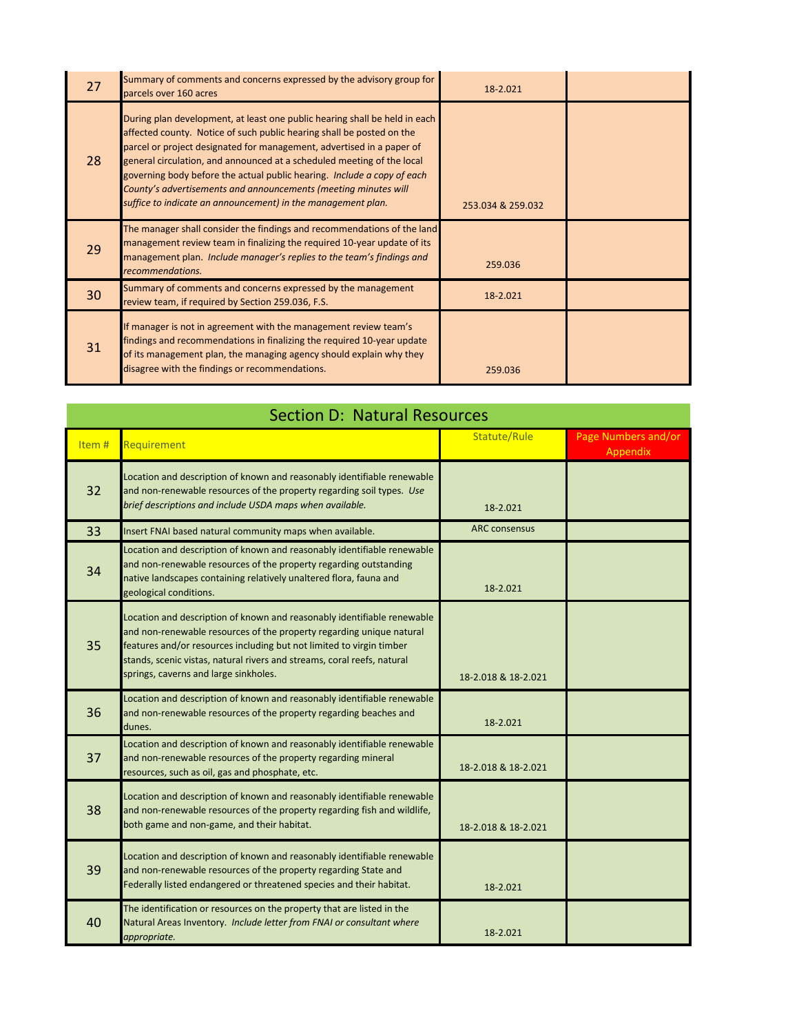| 27 | Summary of comments and concerns expressed by the advisory group for<br>parcels over 160 acres                                                                                                                                                                                                                                                                                                                                                                                                                       | 18-2.021          |  |
|----|----------------------------------------------------------------------------------------------------------------------------------------------------------------------------------------------------------------------------------------------------------------------------------------------------------------------------------------------------------------------------------------------------------------------------------------------------------------------------------------------------------------------|-------------------|--|
| 28 | During plan development, at least one public hearing shall be held in each<br>affected county. Notice of such public hearing shall be posted on the<br>parcel or project designated for management, advertised in a paper of<br>general circulation, and announced at a scheduled meeting of the local<br>governing body before the actual public hearing. Include a copy of each<br>County's advertisements and announcements (meeting minutes will<br>suffice to indicate an announcement) in the management plan. | 253.034 & 259.032 |  |
| 29 | The manager shall consider the findings and recommendations of the land<br>management review team in finalizing the required 10-year update of its<br>management plan. Include manager's replies to the team's findings and<br>recommendations.                                                                                                                                                                                                                                                                      | 259.036           |  |
| 30 | Summary of comments and concerns expressed by the management<br>review team, if required by Section 259.036, F.S.                                                                                                                                                                                                                                                                                                                                                                                                    | 18-2.021          |  |
| 31 | If manager is not in agreement with the management review team's<br>findings and recommendations in finalizing the required 10-year update<br>of its management plan, the managing agency should explain why they<br>disagree with the findings or recommendations.                                                                                                                                                                                                                                                  | 259.036           |  |

| <b>Section D: Natural Resources</b> |                                                                                                                                                                                                                                                                                                                                             |                      |                                 |
|-------------------------------------|---------------------------------------------------------------------------------------------------------------------------------------------------------------------------------------------------------------------------------------------------------------------------------------------------------------------------------------------|----------------------|---------------------------------|
| Item#                               | Requirement                                                                                                                                                                                                                                                                                                                                 | Statute/Rule         | Page Numbers and/or<br>Appendix |
| 32                                  | Location and description of known and reasonably identifiable renewable<br>and non-renewable resources of the property regarding soil types. Use<br>brief descriptions and include USDA maps when available.                                                                                                                                | 18-2.021             |                                 |
| 33                                  | Insert FNAI based natural community maps when available.                                                                                                                                                                                                                                                                                    | <b>ARC</b> consensus |                                 |
| 34                                  | Location and description of known and reasonably identifiable renewable<br>and non-renewable resources of the property regarding outstanding<br>native landscapes containing relatively unaltered flora, fauna and<br>geological conditions.                                                                                                | 18-2.021             |                                 |
| 35                                  | Location and description of known and reasonably identifiable renewable<br>and non-renewable resources of the property regarding unique natural<br>features and/or resources including but not limited to virgin timber<br>stands, scenic vistas, natural rivers and streams, coral reefs, natural<br>springs, caverns and large sinkholes. | 18-2.018 & 18-2.021  |                                 |
| 36                                  | Location and description of known and reasonably identifiable renewable<br>and non-renewable resources of the property regarding beaches and<br>dunes.                                                                                                                                                                                      | 18-2.021             |                                 |
| 37                                  | Location and description of known and reasonably identifiable renewable<br>and non-renewable resources of the property regarding mineral<br>resources, such as oil, gas and phosphate, etc.                                                                                                                                                 | 18-2.018 & 18-2.021  |                                 |
| 38                                  | Location and description of known and reasonably identifiable renewable<br>and non-renewable resources of the property regarding fish and wildlife,<br>both game and non-game, and their habitat.                                                                                                                                           | 18-2.018 & 18-2.021  |                                 |
| 39                                  | Location and description of known and reasonably identifiable renewable<br>and non-renewable resources of the property regarding State and<br>Federally listed endangered or threatened species and their habitat.                                                                                                                          | 18-2.021             |                                 |
| 40                                  | The identification or resources on the property that are listed in the<br>Natural Areas Inventory. Include letter from FNAI or consultant where<br>appropriate.                                                                                                                                                                             | 18-2.021             |                                 |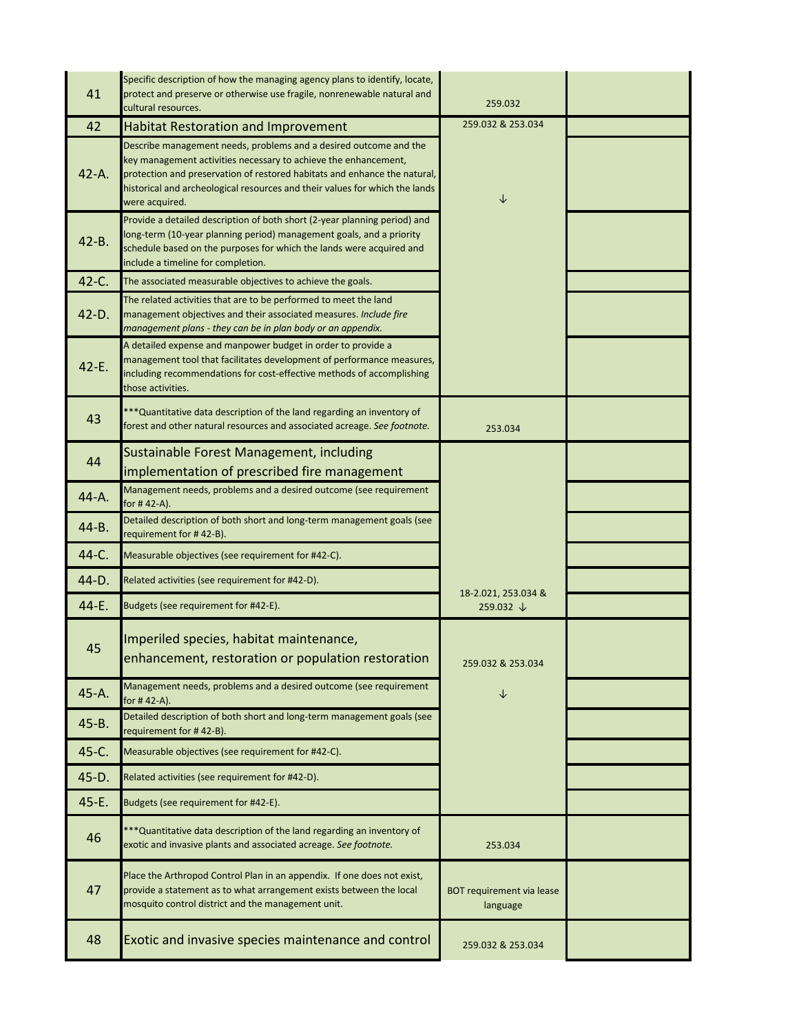| 41        | Specific description of how the managing agency plans to identify, locate,<br>protect and preserve or otherwise use fragile, nonrenewable natural and<br>cultural resources.                                                                                                                                       | 259.032                               |  |
|-----------|--------------------------------------------------------------------------------------------------------------------------------------------------------------------------------------------------------------------------------------------------------------------------------------------------------------------|---------------------------------------|--|
| 42        | <b>Habitat Restoration and Improvement</b>                                                                                                                                                                                                                                                                         | 259.032 & 253.034                     |  |
| $42-A.$   | Describe management needs, problems and a desired outcome and the<br>key management activities necessary to achieve the enhancement,<br>protection and preservation of restored habitats and enhance the natural,<br>historical and archeological resources and their values for which the lands<br>were acquired. | $\downarrow$                          |  |
| $42 - B.$ | Provide a detailed description of both short (2-year planning period) and<br>long-term (10-year planning period) management goals, and a priority<br>schedule based on the purposes for which the lands were acquired and<br>include a timeline for completion.                                                    |                                       |  |
| 42-C.     | The associated measurable objectives to achieve the goals.                                                                                                                                                                                                                                                         |                                       |  |
| $42 - D.$ | The related activities that are to be performed to meet the land<br>management objectives and their associated measures. Include fire<br>management plans - they can be in plan body or an appendix.                                                                                                               |                                       |  |
| $42 - E.$ | A detailed expense and manpower budget in order to provide a<br>management tool that facilitates development of performance measures,<br>including recommendations for cost-effective methods of accomplishing<br>those activities.                                                                                |                                       |  |
| 43        | *** Quantitative data description of the land regarding an inventory of<br>forest and other natural resources and associated acreage. See footnote.                                                                                                                                                                | 253.034                               |  |
| 44        | Sustainable Forest Management, including<br>implementation of prescribed fire management                                                                                                                                                                                                                           |                                       |  |
| 44-A.     | Management needs, problems and a desired outcome (see requirement<br>for #42-A).                                                                                                                                                                                                                                   |                                       |  |
| 44-B.     | Detailed description of both short and long-term management goals (see<br>requirement for #42-B).                                                                                                                                                                                                                  |                                       |  |
| 44-C.     | Measurable objectives (see requirement for #42-C).                                                                                                                                                                                                                                                                 |                                       |  |
| 44-D.     | Related activities (see requirement for #42-D).                                                                                                                                                                                                                                                                    | 18-2.021, 253.034 &                   |  |
| 44-E.     | Budgets (see requirement for #42-E).                                                                                                                                                                                                                                                                               | 259.032 ↓                             |  |
| 45        | Imperiled species, habitat maintenance,<br>enhancement, restoration or population restoration                                                                                                                                                                                                                      | 259.032 & 253.034                     |  |
| 45-A.     | Management needs, problems and a desired outcome (see requirement<br>for # 42-A).                                                                                                                                                                                                                                  | ↓                                     |  |
| 45-B.     | Detailed description of both short and long-term management goals (see<br>requirement for #42-B).                                                                                                                                                                                                                  |                                       |  |
| 45-C.     | Measurable objectives (see requirement for #42-C).                                                                                                                                                                                                                                                                 |                                       |  |
| 45-D.     | Related activities (see requirement for #42-D).                                                                                                                                                                                                                                                                    |                                       |  |
| 45-E.     | Budgets (see requirement for #42-E).                                                                                                                                                                                                                                                                               |                                       |  |
| 46        | *** Quantitative data description of the land regarding an inventory of<br>exotic and invasive plants and associated acreage. See footnote.                                                                                                                                                                        | 253.034                               |  |
| 47        | Place the Arthropod Control Plan in an appendix. If one does not exist,<br>provide a statement as to what arrangement exists between the local<br>mosquito control district and the management unit.                                                                                                               | BOT requirement via lease<br>language |  |
| 48        | Exotic and invasive species maintenance and control                                                                                                                                                                                                                                                                | 259.032 & 253.034                     |  |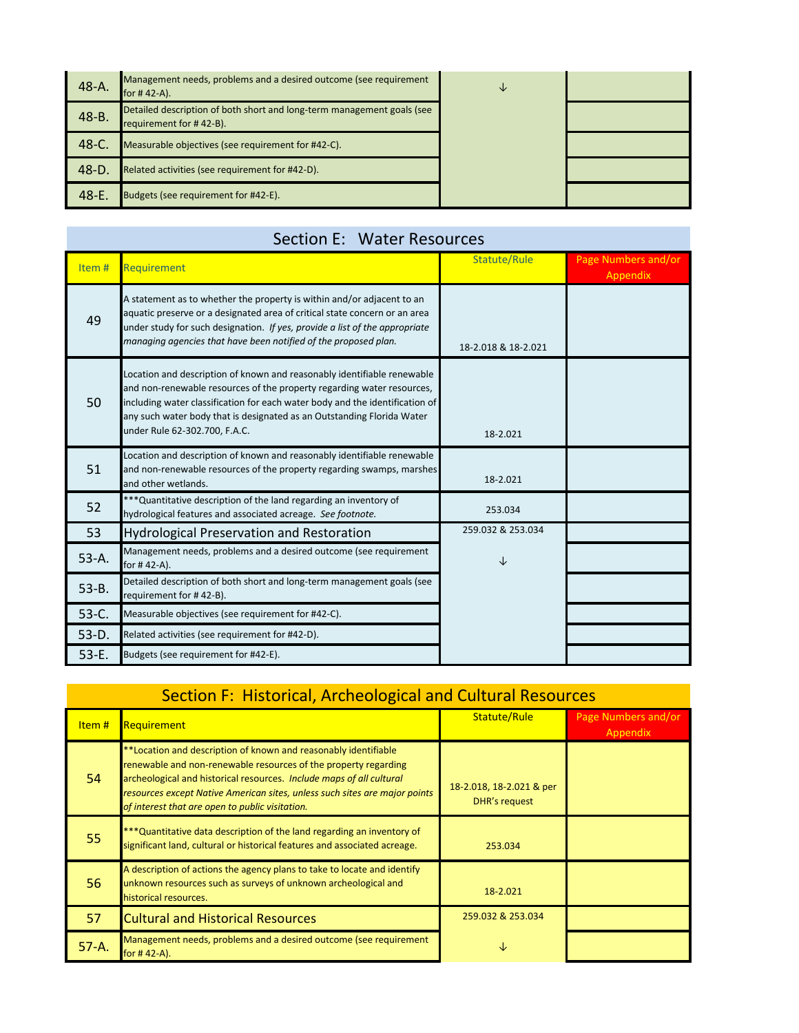| 48-A.      | Management needs, problems and a desired outcome (see requirement<br>for $# 42-A$ ).              | ◡ |  |
|------------|---------------------------------------------------------------------------------------------------|---|--|
| 48-B.      | Detailed description of both short and long-term management goals (see<br>requirement for #42-B). |   |  |
| 48-C.      | Measurable objectives (see requirement for #42-C).                                                |   |  |
| 48-D.      | Related activities (see requirement for #42-D).                                                   |   |  |
| $48 - E$ . | Budgets (see requirement for #42-E).                                                              |   |  |

#### Section E: Water Resources

| Item#     | Requirement                                                                                                                                                                                                                                                                                                                                  | Statute/Rule        | Page Numbers and/or<br>Appendix |
|-----------|----------------------------------------------------------------------------------------------------------------------------------------------------------------------------------------------------------------------------------------------------------------------------------------------------------------------------------------------|---------------------|---------------------------------|
| 49        | A statement as to whether the property is within and/or adjacent to an<br>aquatic preserve or a designated area of critical state concern or an area<br>under study for such designation. If yes, provide a list of the appropriate<br>managing agencies that have been notified of the proposed plan.                                       | 18-2.018 & 18-2.021 |                                 |
| 50        | Location and description of known and reasonably identifiable renewable<br>and non-renewable resources of the property regarding water resources,<br>including water classification for each water body and the identification of<br>any such water body that is designated as an Outstanding Florida Water<br>under Rule 62-302.700, F.A.C. | 18-2.021            |                                 |
| 51        | Location and description of known and reasonably identifiable renewable<br>and non-renewable resources of the property regarding swamps, marshes<br>and other wetlands.                                                                                                                                                                      | 18-2.021            |                                 |
| 52        | *** Quantitative description of the land regarding an inventory of<br>hydrological features and associated acreage. See footnote.                                                                                                                                                                                                            | 253.034             |                                 |
| 53        | <b>Hydrological Preservation and Restoration</b>                                                                                                                                                                                                                                                                                             | 259.032 & 253.034   |                                 |
| 53-A.     | Management needs, problems and a desired outcome (see requirement<br>for #42-A).                                                                                                                                                                                                                                                             | ↓                   |                                 |
| $53 - B.$ | Detailed description of both short and long-term management goals (see<br>requirement for #42-B).                                                                                                                                                                                                                                            |                     |                                 |
| 53-C.     | Measurable objectives (see requirement for #42-C).                                                                                                                                                                                                                                                                                           |                     |                                 |
| $53-D.$   | Related activities (see requirement for #42-D).                                                                                                                                                                                                                                                                                              |                     |                                 |
| $53-E.$   | Budgets (see requirement for #42-E).                                                                                                                                                                                                                                                                                                         |                     |                                 |

# Section F: Historical, Archeological and Cultural Resources

| Item#   | <b>Requirement</b>                                                                                                                                                                                                                                                                                                                          | Statute/Rule                                     | Page Numbers and/or<br>Appendix |
|---------|---------------------------------------------------------------------------------------------------------------------------------------------------------------------------------------------------------------------------------------------------------------------------------------------------------------------------------------------|--------------------------------------------------|---------------------------------|
| 54      | **Location and description of known and reasonably identifiable<br>renewable and non-renewable resources of the property regarding<br>archeological and historical resources. Include maps of all cultural<br>resources except Native American sites, unless such sites are major points<br>of interest that are open to public visitation. | 18-2.018, 18-2.021 & per<br><b>DHR's request</b> |                                 |
| 55      | *** Quantitative data description of the land regarding an inventory of<br>significant land, cultural or historical features and associated acreage.                                                                                                                                                                                        | 253.034                                          |                                 |
| 56      | A description of actions the agency plans to take to locate and identify<br>unknown resources such as surveys of unknown archeological and<br>historical resources.                                                                                                                                                                         | 18-2.021                                         |                                 |
| 57      | <b>Cultural and Historical Resources</b>                                                                                                                                                                                                                                                                                                    | 259.032 & 253.034                                |                                 |
| $57-A.$ | Management needs, problems and a desired outcome (see requirement<br>for $#42-A$ ).                                                                                                                                                                                                                                                         | ◡                                                |                                 |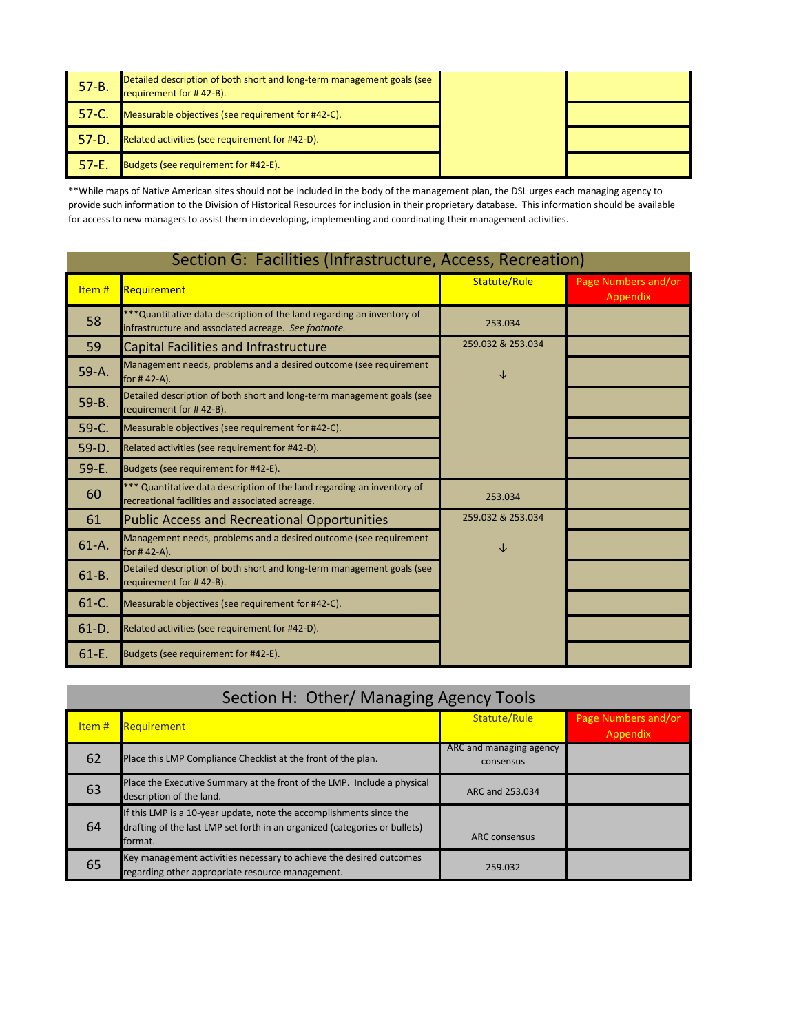| $57 - B$ . | Detailed description of both short and long-term management goals (see<br>requirement for #42-B). |  |
|------------|---------------------------------------------------------------------------------------------------|--|
| $57 - C$   | Measurable objectives (see requirement for #42-C).                                                |  |
| $57-D$     | Related activities (see requirement for #42-D).                                                   |  |
| $57 - E$   | Budgets (see requirement for #42-E).                                                              |  |

\*\*While maps of Native American sites should not be included in the body of the management plan, the DSL urges each managing agency to provide such information to the Division of Historical Resources for inclusion in their proprietary database. This information should be available for access to new managers to assist them in developing, implementing and coordinating their management activities.

| Section G: Facilities (Infrastructure, Access, Recreation) |                                                                                                                                 |                   |                                 |
|------------------------------------------------------------|---------------------------------------------------------------------------------------------------------------------------------|-------------------|---------------------------------|
| Item#                                                      | Requirement                                                                                                                     | Statute/Rule      | Page Numbers and/or<br>Appendix |
| 58                                                         | *** Quantitative data description of the land regarding an inventory of<br>infrastructure and associated acreage. See footnote. | 253.034           |                                 |
| 59                                                         | <b>Capital Facilities and Infrastructure</b>                                                                                    | 259.032 & 253.034 |                                 |
| 59-A.                                                      | Management needs, problems and a desired outcome (see requirement<br>for #42-A).                                                | ↓                 |                                 |
| $59 - B.$                                                  | Detailed description of both short and long-term management goals (see<br>requirement for #42-B).                               |                   |                                 |
| $59-C.$                                                    | Measurable objectives (see requirement for #42-C).                                                                              |                   |                                 |
| $59-D.$                                                    | Related activities (see requirement for #42-D).                                                                                 |                   |                                 |
| $59-E.$                                                    | Budgets (see requirement for #42-E).                                                                                            |                   |                                 |
| 60                                                         | *** Quantitative data description of the land regarding an inventory of<br>recreational facilities and associated acreage.      | 253.034           |                                 |
| 61                                                         | <b>Public Access and Recreational Opportunities</b>                                                                             | 259.032 & 253.034 |                                 |
| $61-A.$                                                    | Management needs, problems and a desired outcome (see requirement<br>for $#42-A$ ).                                             | ↓                 |                                 |
| $61 - B$ .                                                 | Detailed description of both short and long-term management goals (see<br>requirement for #42-B).                               |                   |                                 |
| $61-C.$                                                    | Measurable objectives (see requirement for #42-C).                                                                              |                   |                                 |
| $61-D.$                                                    | Related activities (see requirement for #42-D).                                                                                 |                   |                                 |
| $61 - E$ .                                                 | Budgets (see requirement for #42-E).                                                                                            |                   |                                 |

### Section H: Other/ Managing Agency Tools

| Item # | <b>Requirement</b>                                                                                                                                           | Statute/Rule                         | Page Numbers and/or<br>Appendix |  |
|--------|--------------------------------------------------------------------------------------------------------------------------------------------------------------|--------------------------------------|---------------------------------|--|
| 62     | Place this LMP Compliance Checklist at the front of the plan.                                                                                                | ARC and managing agency<br>consensus |                                 |  |
| 63     | Place the Executive Summary at the front of the LMP. Include a physical<br>description of the land.                                                          | ARC and 253.034                      |                                 |  |
| 64     | If this LMP is a 10-year update, note the accomplishments since the<br>drafting of the last LMP set forth in an organized (categories or bullets)<br>format. | <b>ARC</b> consensus                 |                                 |  |
| 65     | Key management activities necessary to achieve the desired outcomes<br>regarding other appropriate resource management.                                      | 259.032                              |                                 |  |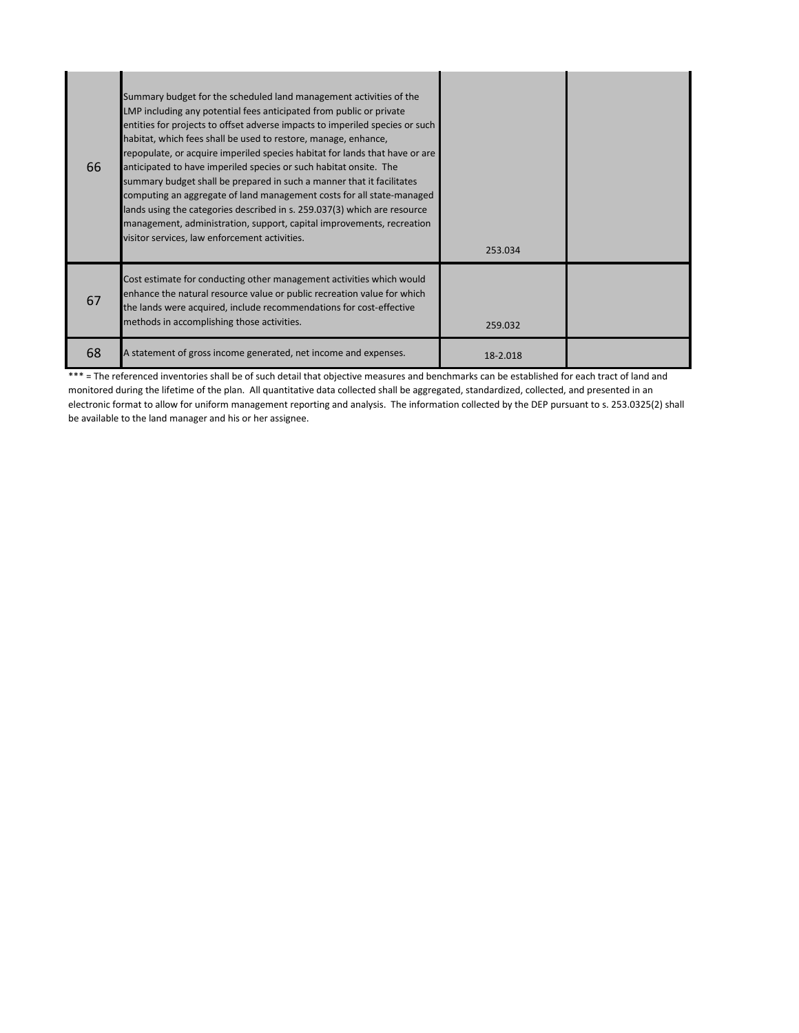| 66 | Summary budget for the scheduled land management activities of the<br>LMP including any potential fees anticipated from public or private<br>entities for projects to offset adverse impacts to imperiled species or such<br>habitat, which fees shall be used to restore, manage, enhance,<br>repopulate, or acquire imperiled species habitat for lands that have or are<br>anticipated to have imperiled species or such habitat onsite. The<br>summary budget shall be prepared in such a manner that it facilitates<br>computing an aggregate of land management costs for all state-managed<br>lands using the categories described in s. 259.037(3) which are resource<br>management, administration, support, capital improvements, recreation<br>visitor services, law enforcement activities. | 253.034  |  |
|----|---------------------------------------------------------------------------------------------------------------------------------------------------------------------------------------------------------------------------------------------------------------------------------------------------------------------------------------------------------------------------------------------------------------------------------------------------------------------------------------------------------------------------------------------------------------------------------------------------------------------------------------------------------------------------------------------------------------------------------------------------------------------------------------------------------|----------|--|
| 67 | Cost estimate for conducting other management activities which would<br>enhance the natural resource value or public recreation value for which<br>the lands were acquired, include recommendations for cost-effective<br>methods in accomplishing those activities.                                                                                                                                                                                                                                                                                                                                                                                                                                                                                                                                    | 259.032  |  |
| 68 | A statement of gross income generated, net income and expenses.                                                                                                                                                                                                                                                                                                                                                                                                                                                                                                                                                                                                                                                                                                                                         | 18-2.018 |  |

\*\*\* = The referenced inventories shall be of such detail that objective measures and benchmarks can be established for each tract of land and monitored during the lifetime of the plan. All quantitative data collected shall be aggregated, standardized, collected, and presented in an electronic format to allow for uniform management reporting and analysis. The information collected by the DEP pursuant to s. 253.0325(2) shall be available to the land manager and his or her assignee.